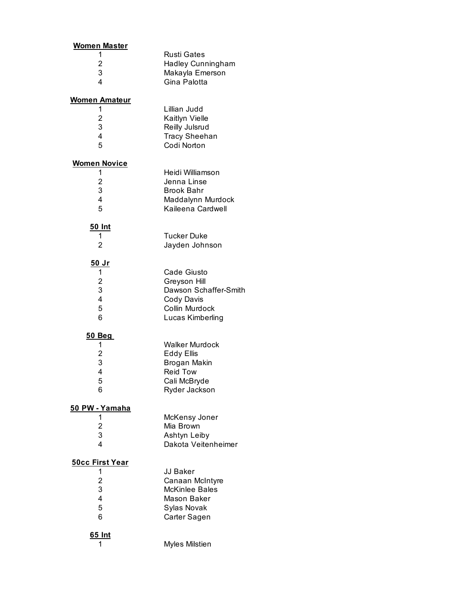| <b>Women Master</b>    |                          |
|------------------------|--------------------------|
| 1                      | <b>Rusti Gates</b>       |
| 2                      | <b>Hadley Cunningham</b> |
| 3                      | Makayla Emerson          |
| 4                      | Gina Palotta             |
|                        |                          |
| <u>Women Amateur</u>   |                          |
| 1                      | Lillian Judd             |
| 2                      | Kaitlyn Vielle           |
| 3                      | Reilly Julsrud           |
| 4                      | <b>Tracy Sheehan</b>     |
| 5                      | Codi Norton              |
| <b>Women Novice</b>    |                          |
| 1                      | Heidi Williamson         |
| $\overline{2}$         | Jenna Linse              |
| 3                      | <b>Brook Bahr</b>        |
| 4                      | Maddalynn Murdock        |
| 5                      | Kaileena Cardwell        |
|                        |                          |
| 50 Int                 |                          |
| 1                      | <b>Tucker Duke</b>       |
| 2                      | Jayden Johnson           |
|                        |                          |
| <u>50 Jr</u>           |                          |
| 1                      | Cade Giusto              |
| 2                      | Greyson Hill             |
| 3                      | Dawson Schaffer-Smith    |
| 4                      | Cody Davis               |
| 5                      | Collin Murdock           |
| 6                      | Lucas Kimberling         |
| <b>50 Beg</b>          |                          |
| 1                      | <b>Walker Murdock</b>    |
| 2                      | <b>Eddy Ellis</b>        |
| 3                      | Brogan Makin             |
| 4                      | <b>Reid Tow</b>          |
|                        |                          |
| 5<br>6                 | Cali McBryde             |
|                        | Ryder Jackson            |
| 50 PW - Yamaha         |                          |
| 1                      | McKensy Joner            |
| $\overline{c}$         | Mia Brown                |
| 3                      | Ashtyn Leiby             |
| 4                      | Dakota Veitenheimer      |
| <b>50cc First Year</b> |                          |
| 1                      | <b>JJ Baker</b>          |
| 2                      | Canaan McIntyre          |
| 3                      | <b>McKinlee Bales</b>    |
|                        |                          |
| 4                      | Mason Baker              |
| 5                      | Sylas Novak              |
| 6                      | Carter Sagen             |
| 65 Int                 |                          |
| 1                      | Myles Milstien           |
|                        |                          |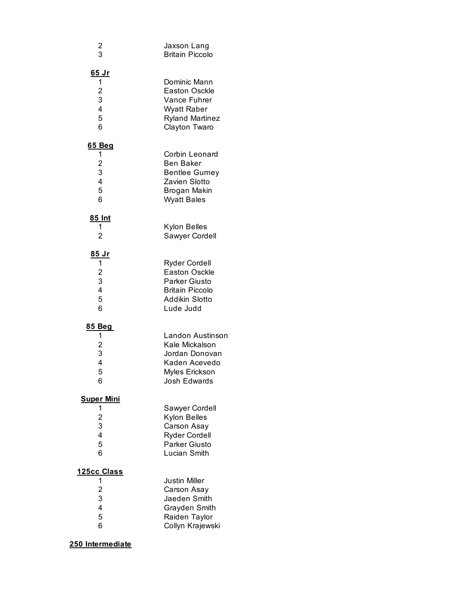| $\overline{\mathbf{c}}$<br>3                                                            | Jaxson Lang<br><b>Britain Piccolo</b>                                                                                         |
|-----------------------------------------------------------------------------------------|-------------------------------------------------------------------------------------------------------------------------------|
| <u>65 Jr</u><br>1<br>$\overline{\mathbf{c}}$<br>3<br>$\overline{\mathbf{4}}$<br>5<br>6  | Dominic Mann<br><b>Easton Osckle</b><br>Vance Fuhrer<br>Wyatt Raber<br><b>Ryland Martinez</b><br>Clayton Twaro                |
| <u>65 Beg</u><br>1<br>$\overline{\mathbf{c}}$<br>3<br>$\overline{\mathbf{4}}$<br>5<br>6 | Corbin Leonard<br>Ben Baker<br><b>Bentlee Gurney</b><br>Zavien Slotto<br>Brogan Makin<br><b>Wyatt Bales</b>                   |
| <u>85 Int</u><br>1<br>2                                                                 | Kylon Belles<br>Sawyer Cordell                                                                                                |
| <u>85 Jr</u><br>1<br>$\overline{\mathbf{c}}$<br>3<br>$\overline{\mathbf{4}}$<br>5<br>6  | <b>Ryder Cordell</b><br><b>Easton Osckle</b><br><b>Parker Giusto</b><br><b>Britain Piccolo</b><br>Addikin Slotto<br>Lude Judd |
| <u>85 Beg</u><br>1<br>$\overline{\mathbf{c}}$<br>3<br>4<br>5<br>6                       | Landon Austinson<br>Kale Mickalson<br>Jordan Donovan<br>Kaden Acevedo<br>Myles Erickson<br><b>Josh Edwards</b>                |
| <b>Super Mini</b><br>1<br>$\overline{c}$<br>3<br>4<br>5<br>6                            | Sawyer Cordell<br>Kylon Belles<br>Carson Asay<br><b>Ryder Cordell</b><br><b>Parker Giusto</b><br>Lucian Smith                 |
| 125cc Class                                                                             |                                                                                                                               |
| 1<br>$\overline{c}$                                                                     | <b>Justin Miller</b><br>Carson Asay                                                                                           |
| 3                                                                                       | Jaeden Smith                                                                                                                  |
| 4                                                                                       | Grayden Smith                                                                                                                 |
| 5<br>6                                                                                  | Raiden Taylor<br>Collyn Krajewski                                                                                             |

## **250 Intermediate**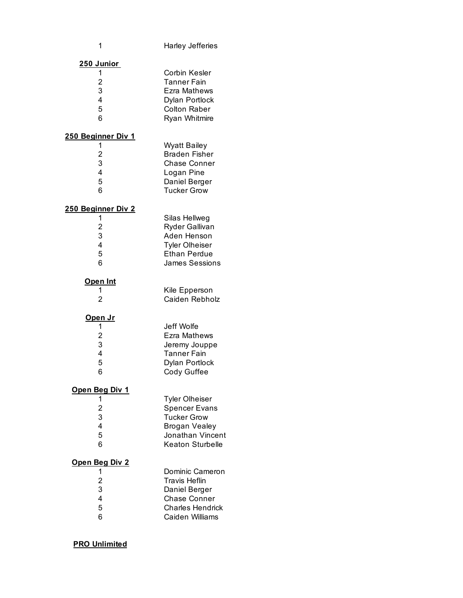| 1                                                                    | <b>Harley Jefferies</b>                                                                                                             |
|----------------------------------------------------------------------|-------------------------------------------------------------------------------------------------------------------------------------|
| <u>250 Junior</u><br>1<br>$\overline{c}$<br>3<br>4<br>5<br>6         | Corbin Kesler<br>Tanner Fain<br>Ezra Mathews<br>Dylan Portlock<br><b>Colton Raber</b><br>Ryan Whitmire                              |
| <u>250 Beginner Div 1</u><br>1<br>$\overline{c}$<br>3<br>4<br>5<br>6 | <b>Wyatt Bailey</b><br><b>Braden Fisher</b><br><b>Chase Conner</b><br>Logan Pine<br>Daniel Berger<br><b>Tucker Grow</b>             |
| <u>250 Beginner Div 2</u><br>1<br>$\overline{c}$<br>3<br>4<br>5<br>6 | Silas Hellweg<br>Ryder Gallivan<br>Aden Henson<br><b>Tyler Olheiser</b><br><b>Ethan Perdue</b><br><b>James Sessions</b>             |
| <b>Open Int</b><br>1<br>2                                            | Kile Epperson<br>Caiden Rebholz                                                                                                     |
| <u>Open Jr</u><br>1<br>$\overline{c}$<br>3<br>4<br>5<br>6            | Jeff Wolfe<br>Ezra Mathews<br>Jeremy Jouppe<br>Tanner Fain<br>Dylan Portlock<br>Cody Guffee                                         |
| <u>Open Beg Div 1</u><br>1<br>$\overline{2}$<br>3<br>4<br>5<br>6     | Tyler Olheiser<br><b>Spencer Evans</b><br><b>Tucker Grow</b><br><b>Brogan Vealey</b><br>Jonathan Vincent<br><b>Keaton Sturbelle</b> |
| <u>Open Beg Div 2</u><br>1<br>$\overline{2}$<br>3<br>4<br>5<br>6     | Dominic Cameron<br>Travis Heflin<br>Daniel Berger<br><b>Chase Conner</b><br><b>Charles Hendrick</b><br>Caiden Williams              |

## **PRO Unlimited**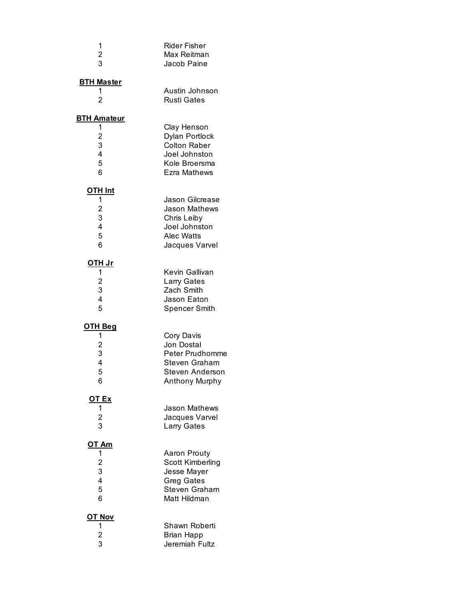| 1                                                           | Rider Fisher                                                                                                          |
|-------------------------------------------------------------|-----------------------------------------------------------------------------------------------------------------------|
| $\overline{c}$                                              | Max Reitman                                                                                                           |
| 3                                                           | Jacob Paine                                                                                                           |
| <b>BTH Master</b><br>1<br>$\overline{2}$                    | Austin Johnson<br><b>Rusti Gates</b>                                                                                  |
| <b>BTH Amateur</b>                                          | Clay Henson                                                                                                           |
| 1                                                           | Dylan Portlock                                                                                                        |
| $\frac{2}{3}$                                               | <b>Colton Raber</b>                                                                                                   |
| 4                                                           | Joel Johnston                                                                                                         |
| 5                                                           | Kole Broersma                                                                                                         |
| 6                                                           | Ezra Mathews                                                                                                          |
| OTH Int<br>1<br>$\overline{\mathbf{c}}$<br>3<br>4<br>5<br>6 | <b>Jason Gilcrease</b><br><b>Jason Mathews</b><br>Chris Leiby<br>Joel Johnston<br><b>Alec Watts</b><br>Jacques Varvel |
| <u>OTH Jr</u>                                               | Kevin Gallivan                                                                                                        |
| 1                                                           | Larry Gates                                                                                                           |
| $\frac{2}{3}$                                               | Zach Smith                                                                                                            |
| 4                                                           | Jason Eaton                                                                                                           |
| 5                                                           | Spencer Smith                                                                                                         |
| <u>OTH Beg</u><br>1<br>$\overline{c}$<br>3<br>4<br>5<br>6   | Cory Davis<br>Jon Dostal<br><b>Peter Prudhomme</b><br>Steven Graham<br>Steven Anderson<br>Anthony Murphy              |
| <u>OT Ex</u>                                                | <b>Jason Mathews</b>                                                                                                  |
| 1                                                           | Jacques Varvel                                                                                                        |
| 2<br>3                                                      | Larry Gates                                                                                                           |
| <u>OT Am</u>                                                | Aaron Prouty                                                                                                          |
| 1                                                           | Scott Kimberling                                                                                                      |
| 2<br>3                                                      | Jesse Mayer                                                                                                           |
| 4                                                           | <b>Greg Gates</b>                                                                                                     |
| 5                                                           | <b>Steven Graham</b>                                                                                                  |
| 6                                                           | Matt Hildman                                                                                                          |
| <b>OT Nov</b>                                               | Shawn Roberti                                                                                                         |
| 1                                                           | Brian Happ                                                                                                            |
| $\frac{2}{3}$                                               | Jeremiah Fultz                                                                                                        |